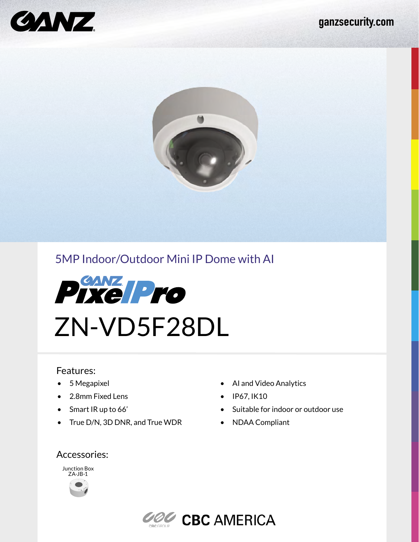



# 5MP Indoor/Outdoor Mini IP Dome with AI



### Features:

- 5 Megapixel
- 2.8mm Fixed Lens
- Smart IR up to 66'
- True D/N, 3D DNR, and True WDR
- AI and Video Analytics
- IP67, IK10
- Suitable for indoor or outdoor use
- NDAA Compliant

### Accessories: